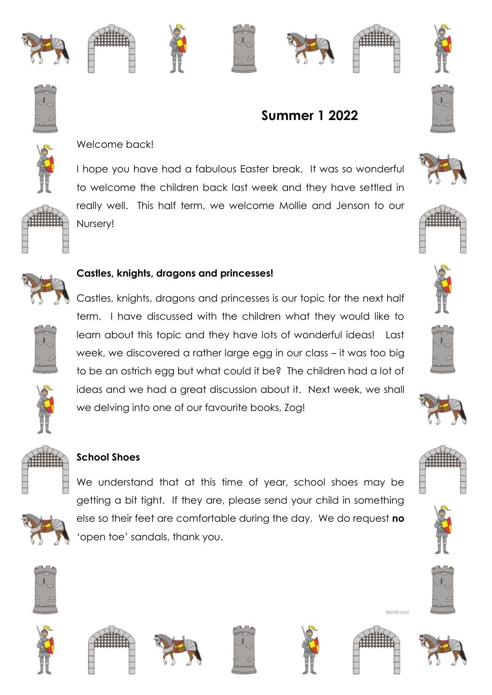







**Summer 1 2022**









# Welcome back!

I hope you have had a fabulous Easter break. It was so wonderful to welcome the children back last week and they have settled in really well. This half term, we welcome Mollie and Jenson to our Nursery!



#### **Castles, knights, dragons and princesses!**

Castles, knights, dragons and princesses is our topic for the next half term. I have discussed with the children what they would like to learn about this topic and they have lots of wonderful ideas! Last week, we discovered a rather large egg in our class – it was too big to be an ostrich egg but what could it be? The children had a lot of ideas and we had a great discussion about it. Next week, we shall we delving into one of our favourite books, Zog!





### **School Shoes**



We understand that at this time of year, school shoes may be getting a bit tight. If they are, please send your child in something else so their feet are comfortable during the day. We do request **no** 'open toe' sandals, thank you.

































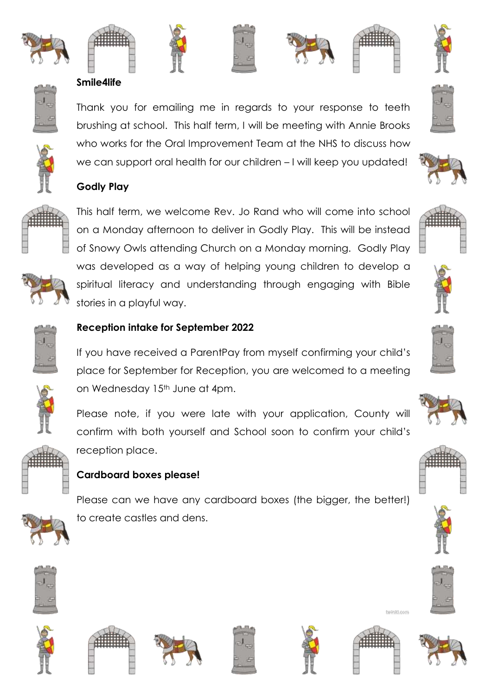









### **Smile4life**



Thank you for emailing me in regards to your response to teeth brushing at school. This half term, I will be meeting with Annie Brooks who works for the Oral Improvement Team at the NHS to discuss how we can support oral health for our children – I will keep you updated!



### **Godly Play**

This half term, we welcome Rev. Jo Rand who will come into school on a Monday afternoon to deliver in Godly Play. This will be instead of Snowy Owls attending Church on a Monday morning. Godly Play was developed as a way of helping young children to develop a spiritual literacy and understanding through engaging with Bible stories in a playful way.



### **Reception intake for September 2022**

If you have received a ParentPay from myself confirming your child's place for September for Reception, you are welcomed to a meeting on Wednesday 15<sup>th</sup> June at 4pm.

Please note, if you were late with your application, County will confirm with both yourself and School soon to confirm your child's reception place.



### **Cardboard boxes please!**

Please can we have any cardboard boxes (the bigger, the better!) to create castles and dens.













hvinki.com